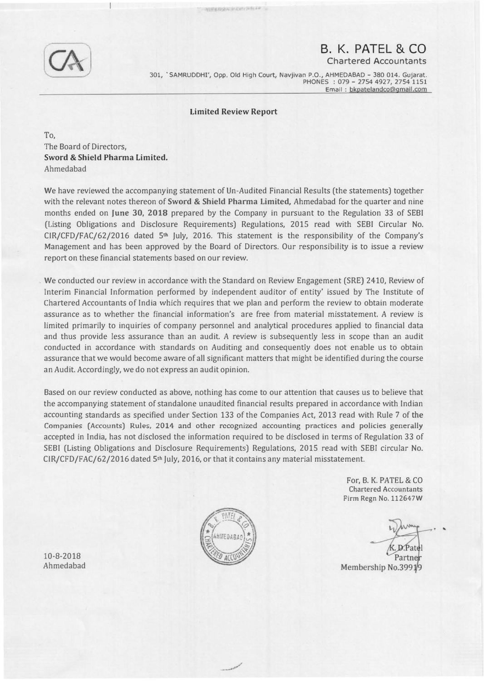## B. K. PATEL & CO

Chartered Accountants

301, 'SAMRUDDHI', Opp. Old High Court, Navjivan P.O., AHMEDABAD - 380 014. Gujarat. PHONES : 079 - 2754 4927, 2754 1151 Email : bkpatelandco@gmail.com

## Limited Review Report

**NAMES AND DESCRIPTIONS OF REAL PROPERTY** 

To, The Board of Directors, Sword & Shield Pharma Limited. Ahmedabad

We have reviewed the accompanying statement of Un-Audited Financial Results (the statements) together with the relevant notes thereon of Sword & Shield Pharma Limited, Ahmedabad for the quarter and nine months ended on June 30, 2018 prepared by the Company in pursuant to the Regulation 33 of SEBI (Listing Obligations and Disclosure Requirements) Regulations, 2015 read with SEBI Circular No.  $CIR/CFD/FAC/62/2016$  dated  $5th$  July, 2016. This statement is the responsibility of the Company's Management and has been approved by the Board of Directors. Our responsibility is to issue a review report on these financial statements based on our review.

We conducted our review in accordance with the Standard on Review Engagement (SRE) 2410, Review of Interim Financial Information performed by independent auditor of entity' issued by The Institute of Chartered Accountants of India which requires that we plan and perform the review to obtain moderate assurance as to whether the financial information's are free from material misstatement. A review is limited primarily to inquiries of company personnel and analytical procedures applied to financial data and thus provide less assurance than an audit. A review is subsequently less in scope than an audit conducted in accordance with standards on Auditing and consequently does not enable us to obtain assurance that we would become aware of all significant matters that might be identified during the course an Audit. Accordingly, we do not express an audit opinion.

Based on our review conducted as above, nothing has come to our attention that causes us to believe that the accompanying statement of standalone unaudited financial results prepared in accordance with Indian accounting standards as specified under Section 133 of the Companies Act, 2013 read with Rule 7 of the Companies (Accounts) Rules, 2014 and other recognized accounting practices and policies generally accepted in India, has not disclosed the information required to be disclosed in terms of Regulation 33 of SEBI (Listing Obligations and Disclosure Requirements) Regulations, 2015 read with SEBI circular No. CIR/CFD/FAC/62/2016 dated 5th July, 2016, or that it contains any material misstatement.



\_ /

For, B. K. PATEL & CO Chartered Accountants Firm Regn No. 112647W

. ..

Membership No.3991/9

10-8-2018 Ahmedabad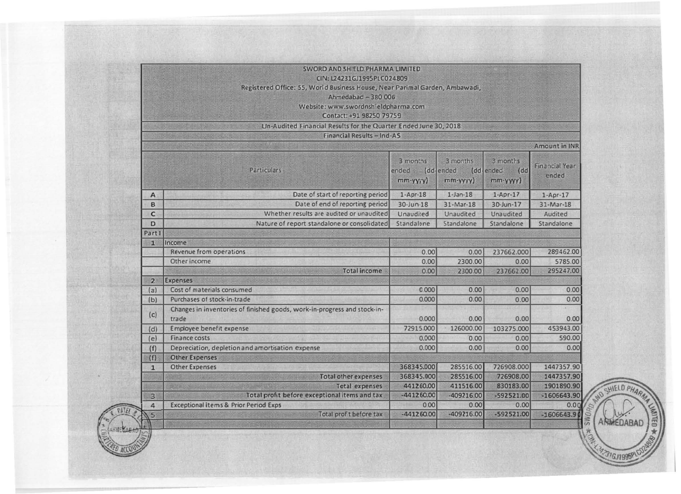| Registered Office: 55, World Business House, Near Parimal Garden, Ambawadi,<br>Ahmedabad - 380 006 |                                                                                   |                                               |                            |                                                  |                                |
|----------------------------------------------------------------------------------------------------|-----------------------------------------------------------------------------------|-----------------------------------------------|----------------------------|--------------------------------------------------|--------------------------------|
|                                                                                                    | Website: www.swordnshieldpharma.com<br>Contact: +91 98250 79759                   |                                               |                            |                                                  |                                |
|                                                                                                    | Un-Audited Financial Results for the Quarter Ended June 30, 2018                  |                                               |                            |                                                  |                                |
|                                                                                                    | Financial Results - Ind-AS                                                        |                                               |                            |                                                  |                                |
|                                                                                                    |                                                                                   |                                               |                            |                                                  | <b>Amount in INR</b>           |
|                                                                                                    |                                                                                   |                                               |                            |                                                  |                                |
|                                                                                                    | <b>Particulars</b>                                                                | 3 months<br>ended (dd-ended<br>$mm$ -yyyy $)$ | 3 months<br>$mm$ -yyyy $)$ | 3 months<br>(dd-<br>(dd-ended)<br>$mm$ -yyyy $)$ | <b>Financial Year</b><br>ended |
| $\mathsf{A}$                                                                                       | Date of start of reporting period                                                 | $1-Apr-18$                                    | $1$ -Jan- $18$             | $1-Apr-17$                                       | $1-Apr-17$                     |
| B                                                                                                  | Date of end of reporting period                                                   | $30$ -Jun $-18$                               | $31-Mar-18$                | 30-Jun-17                                        | $31-Mar-18$                    |
| $\mathbf{C}$                                                                                       | Whether results are audited or unaudited                                          | Unaudited                                     | Unaudited                  | <b>Unaudited</b>                                 | <b>Audited</b>                 |
| D                                                                                                  | Nature of report standalone or consolidated Standalone                            |                                               | Standalone                 | Standalone                                       | Standalone                     |
| Part I                                                                                             |                                                                                   |                                               |                            |                                                  |                                |
| п                                                                                                  | Income                                                                            |                                               |                            |                                                  |                                |
|                                                                                                    | <b>Revenue from operations</b>                                                    | 0.00                                          | 0.001                      | 237662.000                                       | 289462.00                      |
|                                                                                                    | Other income                                                                      | 0.00                                          | 2300.00                    | 0.00                                             | 5785.00                        |
|                                                                                                    | <b>Total income</b>                                                               | 0.00                                          | 2300.00                    | 237662.00                                        | 295247.00                      |
| $\overline{2}$                                                                                     | <b>Expenses</b>                                                                   |                                               |                            |                                                  |                                |
| (a)                                                                                                | Cost of materials consumed                                                        | 0.000                                         | 0.00                       | 0.00                                             | 0.00                           |
| (b)                                                                                                | Purchases of stock-in-trade                                                       | 0.000                                         | 0.00                       | 0.00                                             | 0.00                           |
| (c)                                                                                                | Changes in inventories of finished goods, work-in-progress and stock-in-<br>trade | 0.000                                         | 0.00                       | 0.00                                             | 0.00                           |
| (d)                                                                                                | <b>Employee benefit expense</b>                                                   | 72915.000                                     | 126000.00                  | 103275.000                                       | 453943.00                      |
| (e)                                                                                                | <b>Finance costs</b>                                                              | 0.000                                         | 0.00                       | 0.00                                             | 590.00                         |
| (f)                                                                                                | Depreciation, depletion and amortisation expense                                  | 0.000                                         | 0.00                       | 0.00                                             | 0.00                           |
| (f)                                                                                                | <b>Other Expenses</b>                                                             |                                               |                            |                                                  |                                |
| $\mathbf{1}$                                                                                       | <b>Other Expenses</b>                                                             | 368345.000                                    | 285516.00                  | 726908.000                                       | 1447357.90                     |
|                                                                                                    | <b>Total other expenses</b>                                                       | 368345.000                                    | 285516.00                  | 726908.00                                        | 1447357.90                     |
|                                                                                                    | Total expenses                                                                    | 441260.00                                     | 411516.00                  | 830183.00                                        | 1901890.90                     |
| $\overline{3}$                                                                                     | Total profit before exceptional items and tax                                     | $-441260.00$                                  | $-409216.00$               | $-592521.00$                                     | $-1606643.90$                  |
| 4                                                                                                  | <b>Exceptional items &amp; Prior Period Exps</b>                                  | 0.00                                          | 0.00                       | 0.00                                             | 0.00                           |
| $\overline{5}$                                                                                     | Total profit before tax                                                           | $-441260.00$                                  | $-409216.00$               | $-592521.00$                                     | $-1606643.90$                  |

 $-1606643.90$   $*10$   $5$   $^{3}$ ANNEDABAD  $\frac{1}{2}$  c:  $\frac{0.00}{2}$  .  $\frac{0.00}{2}$  .  $\frac{0.00}{2}$  $5$   $\wedge$   $\wedge$   $\wedge$   $\wedge$   $\wedge$   $\wedge$   $\wedge$   $\wedge$   $\wedge$   $\wedge$   $\wedge$   $\wedge$   $\wedge$   $\wedge$   $\wedge$   $\wedge$   $\wedge$   $\wedge$   $\wedge$   $\wedge$   $\wedge$   $\wedge$   $\wedge$   $\wedge$   $\wedge$   $\wedge$   $\wedge$   $\wedge$   $\wedge$   $\wedge$   $\wedge$   $\wedge$   $\wedge$   $\wedge$   $\wedge$   $\wedge$   $M$ **INITED**  $*$  $\delta$ W. 42316.11995PLGDAS

. 2000 ACQUARTER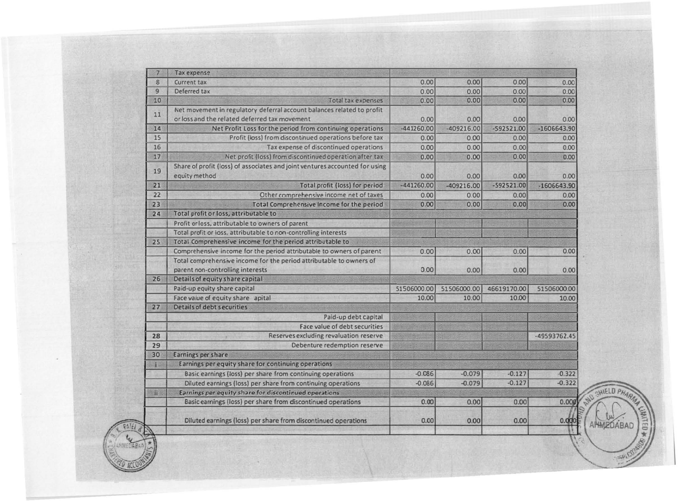| 7   | <b>Tax expense</b>                                                                           |              |              |              |               |
|-----|----------------------------------------------------------------------------------------------|--------------|--------------|--------------|---------------|
| 8   | Current tax                                                                                  | 0.00         | 0.00         | 0.00         | 0.00          |
| 9   | Deferred tax                                                                                 | 0.00         | 0.00         | 0.00         | 0.00          |
| 10  | <b>Total tax expenses</b>                                                                    | 0.00         | 0.00         | 0.00         | 0.00          |
| 11  | Net movement in regulatory deferral account balances related to profit                       |              |              |              |               |
|     | or loss and the related deferred tax movement                                                | 0.00         | 0.00         | 0.00         | 0.00          |
| 14  | Net Profit Loss for the period from continuing operations                                    | $-441260.00$ | $-409216.00$ | $-592521.00$ | $-1606643.90$ |
| 15  | Profit (loss) from discontinued operations before tax                                        | 0.00         | 0.00         | 0.00         | 0.00          |
| 16  | Tax expense of discontinued operations                                                       | 0.00         | 0.00         | 0.00         | 0.00          |
| 17  | Net profit (loss) from discontinued operation after tax                                      | 0.00         | 0.00         | 0.00         | 0.00          |
| 19  | Share of profit (loss) of associates and joint ventures accounted for using<br>equity method | 0.00         | 0.00         | 0.00         | 0.00          |
| 21  | Total profit (loss) for period                                                               | $-441260.00$ | $-409216.00$ | -592521.00   | $-1606643.90$ |
| 22  | Other comprehensive income net of taxes                                                      | 0.00         | 0.00         | 0.00         | 0.00          |
| 23  | Total Comprehensive Income for the period                                                    | 0.00         | 0.00         | 0.00         | 0.00          |
| 24  | Total profit or loss, attributable to                                                        |              |              |              |               |
|     | Profit or loss, attributable to owners of parent                                             |              |              |              |               |
|     | Total profit or loss, attributable to non-controlling interests                              |              |              |              |               |
| 25  | Total Comprehensive income for the period attributable to                                    |              |              |              |               |
|     | Comprehensive income for the period attributable to owners of parent                         | 0.00         | 0.00         | 0.00         | 0.00          |
|     | Total comprehensive income for the period attributable to owners of                          |              |              |              |               |
|     | parent non-controlling interests                                                             | 0.00         | 0.00         | 0.00         | 0.00          |
| 26  | Details of equity share capital                                                              |              |              |              |               |
|     | Paid-up equity share capital                                                                 | 51506000.00  | 51506000.00  | 46619170.00  | 51506000.00   |
|     | Face value of equity share apital                                                            | 10.00        | 10.00        | 10.00        | 10.00         |
| 27  | <b>Details of debt securities</b>                                                            |              |              |              |               |
|     | Paid-up debt capital                                                                         |              |              |              |               |
|     | <b>Face value of debt securities</b>                                                         |              |              |              |               |
| 28  | Reserves excluding revaluation reserve                                                       |              |              |              | -49593762.45  |
| 29  | Debenture redemption reserve                                                                 |              |              |              |               |
| 30  | <b>Earnings per share</b>                                                                    |              |              |              |               |
|     | Earnings per equity share for continuing operations                                          |              |              |              |               |
|     | Basic earnings (loss) per share from continuing operations                                   | $-0.086$     | $-0.079$     | $-0.127$     | $-0.322$      |
|     | Diluted earnings (loss) per share from continuing operations                                 | $-0.086$     | $-0.079$     | $-0.127$     | $-0.322$      |
| ii: | Earnings per equity share for discontinued operations                                        |              |              |              |               |
|     | Basic earnings (loss) per share from discontinued operations                                 | 0.00         | 0.00         | 0.00         | 0.009         |
|     | Diluted earnings (loss) per share from discontinued operations                               | 0.00         | 0.00         | 0.00         | 0.000         |

 $\mathcal{L}$  , which is a set of  $\mathcal{L}$  , we have the set of  $\mathcal{L}$ 

,,� .- -·'/

 $\mathbb{E}^{\binom{n}{2}}$ 

**ED ACCOUNT** 

 $\frac{1}{2}$ 

**P.20** 

.-..., .